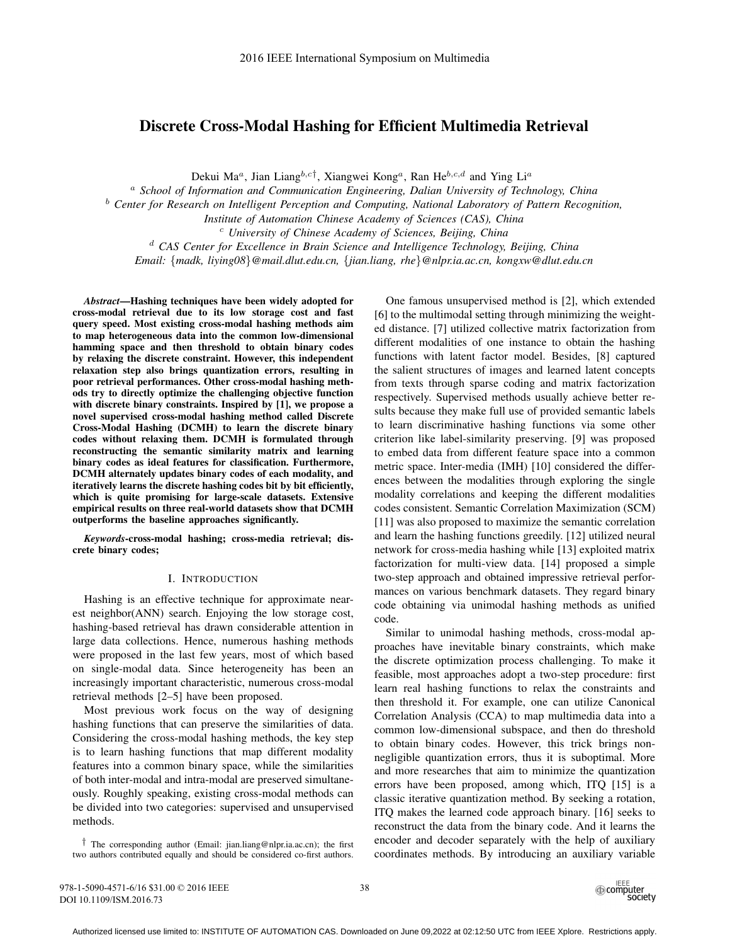# Discrete Cross-Modal Hashing for Efficient Multimedia Retrieval

Dekui Ma<sup>a</sup>, Jian Liang<sup>b,c†</sup>, Xiangwei Kong<sup>a</sup>, Ran He<sup>b,c,d</sup> and Ying Li<sup>a</sup>

<sup>a</sup> *School of Information and Communication Engineering, Dalian University of Technology, China*

<sup>b</sup> *Center for Research on Intelligent Perception and Computing, National Laboratory of Pattern Recognition,*

*Institute of Automation Chinese Academy of Sciences (CAS), China* <sup>c</sup> *University of Chinese Academy of Sciences, Beijing, China* 

<sup>d</sup> *CAS Center for Excellence in Brain Science and Intelligence Technology, Beijing, China Email:* {*madk, liying08*}*@mail.dlut.edu.cn,* {*jian.liang, rhe*}*@nlpr.ia.ac.cn, kongxw@dlut.edu.cn*

*Abstract*—Hashing techniques have been widely adopted for cross-modal retrieval due to its low storage cost and fast query speed. Most existing cross-modal hashing methods aim to map heterogeneous data into the common low-dimensional hamming space and then threshold to obtain binary codes by relaxing the discrete constraint. However, this independent relaxation step also brings quantization errors, resulting in poor retrieval performances. Other cross-modal hashing methods try to directly optimize the challenging objective function with discrete binary constraints. Inspired by [1], we propose a novel supervised cross-modal hashing method called Discrete Cross-Modal Hashing (DCMH) to learn the discrete binary codes without relaxing them. DCMH is formulated through reconstructing the semantic similarity matrix and learning binary codes as ideal features for classification. Furthermore, DCMH alternately updates binary codes of each modality, and iteratively learns the discrete hashing codes bit by bit efficiently, which is quite promising for large-scale datasets. Extensive empirical results on three real-world datasets show that DCMH outperforms the baseline approaches significantly.

*Keywords*-cross-modal hashing; cross-media retrieval; discrete binary codes;

### I. INTRODUCTION

Hashing is an effective technique for approximate nearest neighbor(ANN) search. Enjoying the low storage cost, hashing-based retrieval has drawn considerable attention in large data collections. Hence, numerous hashing methods were proposed in the last few years, most of which based on single-modal data. Since heterogeneity has been an increasingly important characteristic, numerous cross-modal retrieval methods [2–5] have been proposed.

Most previous work focus on the way of designing hashing functions that can preserve the similarities of data. Considering the cross-modal hashing methods, the key step is to learn hashing functions that map different modality features into a common binary space, while the similarities of both inter-modal and intra-modal are preserved simultaneously. Roughly speaking, existing cross-modal methods can be divided into two categories: supervised and unsupervised methods.

† The corresponding author (Email: jian.liang@nlpr.ia.ac.cn); the first two authors contributed equally and should be considered co-first authors.

One famous unsupervised method is [2], which extended [6] to the multimodal setting through minimizing the weighted distance. [7] utilized collective matrix factorization from different modalities of one instance to obtain the hashing functions with latent factor model. Besides, [8] captured the salient structures of images and learned latent concepts from texts through sparse coding and matrix factorization respectively. Supervised methods usually achieve better results because they make full use of provided semantic labels to learn discriminative hashing functions via some other criterion like label-similarity preserving. [9] was proposed to embed data from different feature space into a common metric space. Inter-media (IMH) [10] considered the differences between the modalities through exploring the single modality correlations and keeping the different modalities codes consistent. Semantic Correlation Maximization (SCM) [11] was also proposed to maximize the semantic correlation and learn the hashing functions greedily. [12] utilized neural network for cross-media hashing while [13] exploited matrix factorization for multi-view data. [14] proposed a simple two-step approach and obtained impressive retrieval performances on various benchmark datasets. They regard binary code obtaining via unimodal hashing methods as unified code.

Similar to unimodal hashing methods, cross-modal approaches have inevitable binary constraints, which make the discrete optimization process challenging. To make it feasible, most approaches adopt a two-step procedure: first learn real hashing functions to relax the constraints and then threshold it. For example, one can utilize Canonical Correlation Analysis (CCA) to map multimedia data into a common low-dimensional subspace, and then do threshold to obtain binary codes. However, this trick brings nonnegligible quantization errors, thus it is suboptimal. More and more researches that aim to minimize the quantization errors have been proposed, among which, ITQ [15] is a classic iterative quantization method. By seeking a rotation, ITQ makes the learned code approach binary. [16] seeks to reconstruct the data from the binary code. And it learns the encoder and decoder separately with the help of auxiliary coordinates methods. By introducing an auxiliary variable

978-1-5090-4571-6/16 \$31.00 © 2016 IEEE DOI 10.1109/ISM.2016.73

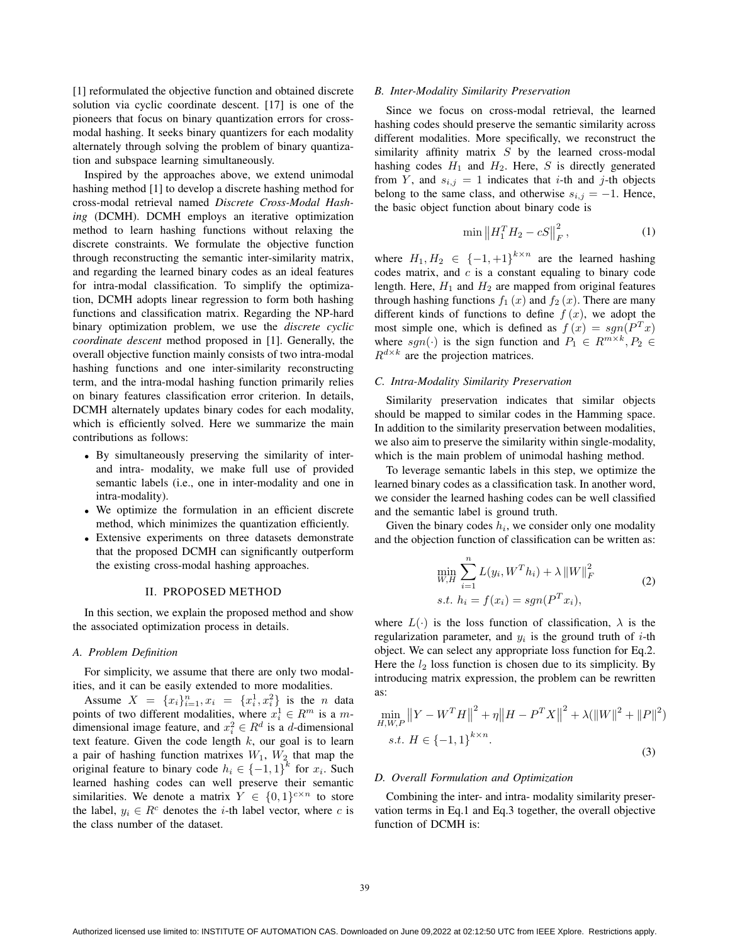[1] reformulated the objective function and obtained discrete solution via cyclic coordinate descent. [17] is one of the pioneers that focus on binary quantization errors for crossmodal hashing. It seeks binary quantizers for each modality alternately through solving the problem of binary quantization and subspace learning simultaneously.

Inspired by the approaches above, we extend unimodal hashing method [1] to develop a discrete hashing method for cross-modal retrieval named *Discrete Cross-Modal Hashing* (DCMH). DCMH employs an iterative optimization method to learn hashing functions without relaxing the discrete constraints. We formulate the objective function through reconstructing the semantic inter-similarity matrix, and regarding the learned binary codes as an ideal features for intra-modal classification. To simplify the optimization, DCMH adopts linear regression to form both hashing functions and classification matrix. Regarding the NP-hard binary optimization problem, we use the *discrete cyclic coordinate descent* method proposed in [1]. Generally, the overall objective function mainly consists of two intra-modal hashing functions and one inter-similarity reconstructing term, and the intra-modal hashing function primarily relies on binary features classification error criterion. In details, DCMH alternately updates binary codes for each modality, which is efficiently solved. Here we summarize the main contributions as follows:

- By simultaneously preserving the similarity of interand intra- modality, we make full use of provided semantic labels (i.e., one in inter-modality and one in intra-modality).
- We optimize the formulation in an efficient discrete method, which minimizes the quantization efficiently.
- Extensive experiments on three datasets demonstrate that the proposed DCMH can significantly outperform the existing cross-modal hashing approaches.

### II. PROPOSED METHOD

In this section, we explain the proposed method and show the associated optimization process in details.

### *A. Problem Definition*

For simplicity, we assume that there are only two modalities, and it can be easily extended to more modalities.

Assume  $X = \{x_i\}_{i=1}^n, x_i = \{x_i^1, x_i^2\}$  is the *n* data points of two different modalities, where  $x_i^1 \in R^m$  is a *m*dimensional image feature, and  $x_i^2 \in R^d$  is a *d*-dimensional text feature. Given the code length *k*, our goal is to learn a pair of hashing function matrixes *W*1, *W*<sup>2</sup> that map the original feature to binary code  $h_i \in \{-1, 1\}^k$  for  $x_i$ . Such learned hashing codes can well preserve their semantic similarities. We denote a matrix  $Y \in \{0,1\}^{c \times n}$  to store the label,  $y_i \in R^c$  denotes the *i*-th label vector, where *c* is the class number of the dataset.

### *B. Inter-Modality Similarity Preservation*

Since we focus on cross-modal retrieval, the learned hashing codes should preserve the semantic similarity across different modalities. More specifically, we reconstruct the similarity affinity matrix *S* by the learned cross-modal hashing codes  $H_1$  and  $H_2$ . Here, *S* is directly generated from *Y*, and  $s_{i,j} = 1$  indicates that *i*-th and *j*-th objects belong to the same class, and otherwise  $s_{i,j} = -1$ . Hence, the basic object function about binary code is

$$
\min \|H_1^T H_2 - cS\|_F^2, \tag{1}
$$

where  $H_1, H_2 \in \{-1, +1\}^{k \times n}$  are the learned hashing codes matrix, and *c* is a constant equaling to binary code length. Here,  $H_1$  and  $H_2$  are mapped from original features through hashing functions  $f_1(x)$  and  $f_2(x)$ . There are many different kinds of functions to define  $f(x)$ , we adopt the most simple one, which is defined as  $f(x) = sgn(P^{T}x)$ where *sgn*(·) is the sign function and  $P_1 \in R^{m \times k}$ ,  $P_2 \in$  $R^{d \times k}$  are the projection matrices.

# *C. Intra-Modality Similarity Preservation*

Similarity preservation indicates that similar objects should be mapped to similar codes in the Hamming space. In addition to the similarity preservation between modalities, we also aim to preserve the similarity within single-modality, which is the main problem of unimodal hashing method.

To leverage semantic labels in this step, we optimize the learned binary codes as a classification task. In another word, we consider the learned hashing codes can be well classified and the semantic label is ground truth.

Given the binary codes  $h_i$ , we consider only one modality and the objection function of classification can be written as:

$$
\min_{W,H} \sum_{i=1}^{n} L(y_i, W^T h_i) + \lambda ||W||_F^2
$$
\n
$$
s.t. h_i = f(x_i) = sgn(P^T x_i),
$$
\n(2)

where  $L(\cdot)$  is the loss function of classification,  $\lambda$  is the regularization parameter, and  $y_i$  is the ground truth of  $i$ -th object. We can select any appropriate loss function for Eq.2. Here the  $l_2$  loss function is chosen due to its simplicity. By introducing matrix expression, the problem can be rewritten as:

$$
\min_{H,W,P} \left\| Y - W^T H \right\|^2 + \eta \left\| H - P^T X \right\|^2 + \lambda (\left\| W \right\|^2 + \left\| P \right\|^2)
$$
  
s.t.  $H \in \{-1, 1\}^{k \times n}$ . (3)

#### *D. Overall Formulation and Optimization*

Combining the inter- and intra- modality similarity preservation terms in Eq.1 and Eq.3 together, the overall objective function of DCMH is: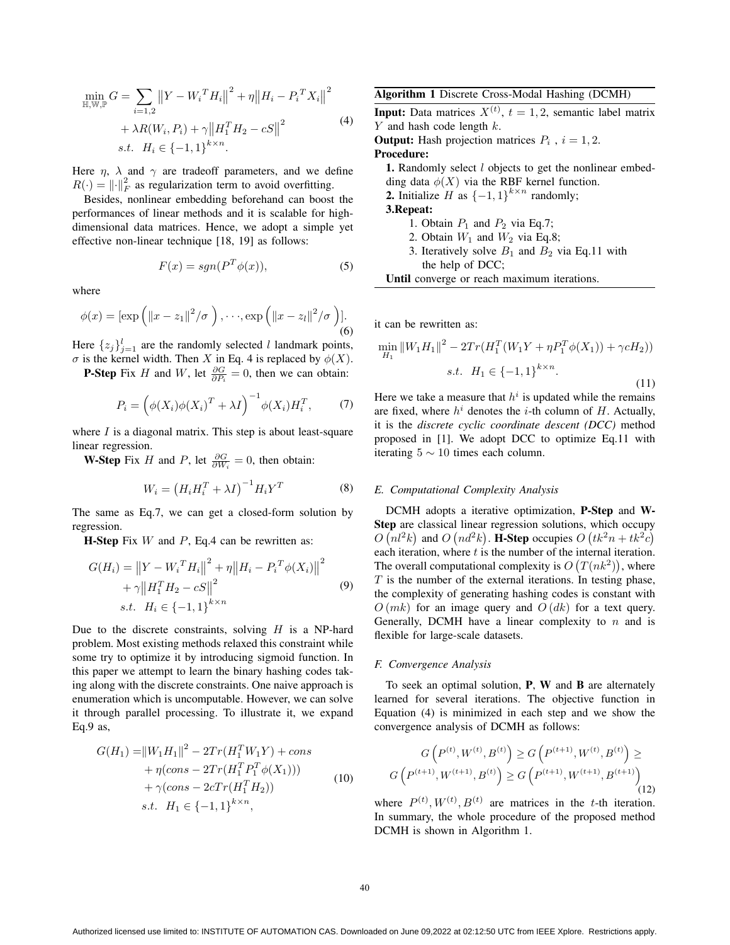$$
\min_{\mathbb{H}, \mathbb{W}, \mathbb{P}} G = \sum_{i=1,2} ||Y - W_i^T H_i||^2 + \eta ||H_i - P_i^T X_i||^2
$$
  
+  $\lambda R(W_i, P_i) + \gamma ||H_1^T H_2 - cS||^2$  (4)  
s.t.  $H_i \in \{-1, 1\}^{k \times n}$ .

Here  $\eta$ ,  $\lambda$  and  $\gamma$  are tradeoff parameters, and we define  $R(\cdot) = ||\cdot||_F^2$  as regularization term to avoid overfitting.

Besides, nonlinear embedding beforehand can boost the performances of linear methods and it is scalable for highdimensional data matrices. Hence, we adopt a simple yet effective non-linear technique [18, 19] as follows:

$$
F(x) = sgn(P^T\phi(x)),
$$
\n(5)

where

$$
\phi(x) = \left[\exp\left(\left\|x-z_1\right\|^2/\sigma\right), \cdots, \exp\left(\left\|x-z_l\right\|^2/\sigma\right)\right].
$$
\n(6)

Here  $\{z_j\}_{j=1}^l$  are the randomly selected *l* landmark points,  $\sigma$  is the kernel width. Then *X* in Eq. 4 is replaced by  $\phi(X)$ .

**P-Step** Fix *H* and *W*, let  $\frac{\partial G}{\partial P_i} = 0$ , then we can obtain:

$$
P_i = \left(\phi(X_i)\phi(X_i)^T + \lambda I\right)^{-1}\phi(X_i)H_i^T,\tag{7}
$$

where *I* is a diagonal matrix. This step is about least-square linear regression.

**W-Step** Fix *H* and *P*, let  $\frac{\partial G}{\partial W_i} = 0$ , then obtain:

$$
W_i = \left(H_i H_i^T + \lambda I\right)^{-1} H_i Y^T \tag{8}
$$

The same as Eq.7, we can get a closed-form solution by regression.

H-Step Fix *W* and *P*, Eq.4 can be rewritten as:

$$
G(H_i) = \|Y - W_i^T H_i\|^2 + \eta \|H_i - P_i^T \phi(X_i)\|^2
$$
  
+  $\gamma \|H_1^T H_2 - cS\|^2$   
s.t.  $H_i \in \{-1, 1\}^{k \times n}$  (9)

Due to the discrete constraints, solving *H* is a NP-hard problem. Most existing methods relaxed this constraint while some try to optimize it by introducing sigmoid function. In this paper we attempt to learn the binary hashing codes taking along with the discrete constraints. One naive approach is enumeration which is uncomputable. However, we can solve it through parallel processing. To illustrate it, we expand Eq.9 as,

$$
G(H_1) = ||W_1H_1||^2 - 2Tr(H_1^T W_1 Y) + cons + \eta (cons - 2Tr(H_1^T P_1^T \phi(X_1))) + \gamma (cons - 2cTr(H_1^T H_2)) s.t. H_1 \in \{-1, 1\}^{k \times n},
$$
 (10)

Algorithm 1 Discrete Cross-Modal Hashing (DCMH) **Input:** Data matrices  $X^{(t)}$ ,  $t = 1, 2$ , semantic label matrix *Y* and hash code length *k*. **Output:** Hash projection matrices  $P_i$ ,  $i = 1, 2$ . Procedure: 1. Randomly select *l* objects to get the nonlinear embedding data  $\phi(X)$  via the RBF kernel function. 2. Initialize *H* as  ${-1, 1}^{k \times n}$  randomly; 3.Repeat: 1. Obtain  $P_1$  and  $P_2$  via Eq.7; 2. Obtain  $W_1$  and  $W_2$  via Eq.8; 3. Iteratively solve  $B_1$  and  $B_2$  via Eq.11 with

Until converge or reach maximum iterations.

the help of DCC;

it can be rewritten as:

$$
\min_{H_1} \|W_1 H_1\|^2 - 2Tr(H_1^T(W_1 Y + \eta P_1^T \phi(X_1)) + \gamma c H_2))
$$
  
s.t.  $H_1 \in \{-1, 1\}^{k \times n}$ . (11)

Here we take a measure that  $h^i$  is updated while the remains are fixed, where  $h^{i}$  denotes the *i*-th column of *H*. Actually, it is the *discrete cyclic coordinate descent (DCC)* method proposed in [1]. We adopt DCC to optimize Eq.11 with iterating  $5 \sim 10$  times each column.

### *E. Computational Complexity Analysis*

DCMH adopts a iterative optimization, P-Step and W-Step are classical linear regression solutions, which occupy  $O(nl^2k)$  and  $O(nd^2k)$ . **H-Step** occupies  $O(tk^2n + tk^2c)$ each iteration, where *t* is the number of the internal iteration. The overall computational complexity is  $O(T(nk^2))$ , where *T* is the number of the external iterations. In testing phase, the complexity of generating hashing codes is constant with *O* (*mk*) for an image query and *O* (*dk*) for a text query. Generally, DCMH have a linear complexity to *n* and is flexible for large-scale datasets.

### *F. Convergence Analysis*

To seek an optimal solution,  $P$ ,  $W$  and  $B$  are alternately learned for several iterations. The objective function in Equation (4) is minimized in each step and we show the convergence analysis of DCMH as follows:

$$
G\left(P^{(t)}, W^{(t)}, B^{(t)}\right) \ge G\left(P^{(t+1)}, W^{(t)}, B^{(t)}\right) \ge G\left(P^{(t+1)}, W^{(t+1)}, B^{(t+1)}\right)
$$
\n
$$
G\left(P^{(t+1)}, W^{(t+1)}, B^{(t)}\right) \ge G\left(P^{(t+1)}, W^{(t+1)}, B^{(t+1)}\right)
$$
\n
$$
(12)
$$

where  $P^{(t)}$ ,  $W^{(t)}$ ,  $B^{(t)}$  are matrices in the *t*-th iteration. In summary, the whole procedure of the proposed method DCMH is shown in Algorithm 1.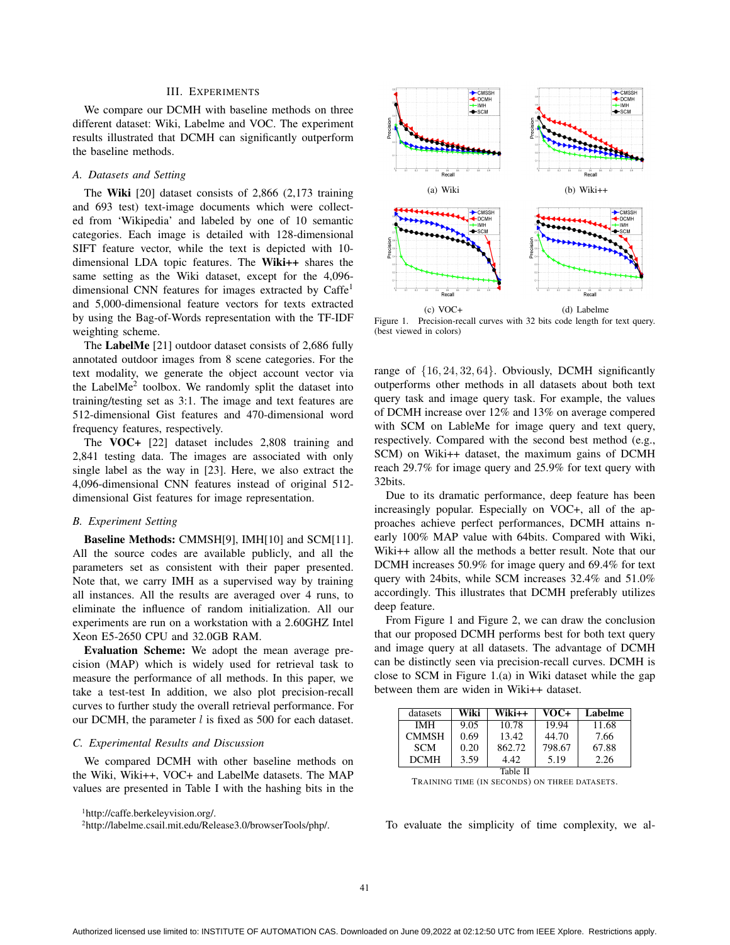# III. EXPERIMENTS

We compare our DCMH with baseline methods on three different dataset: Wiki, Labelme and VOC. The experiment results illustrated that DCMH can significantly outperform the baseline methods.

# *A. Datasets and Setting*

The Wiki [20] dataset consists of 2,866 (2,173 training and 693 test) text-image documents which were collected from 'Wikipedia' and labeled by one of 10 semantic categories. Each image is detailed with 128-dimensional SIFT feature vector, while the text is depicted with 10 dimensional LDA topic features. The Wiki++ shares the same setting as the Wiki dataset, except for the 4,096 dimensional CNN features for images extracted by Caffe<sup>1</sup> and 5,000-dimensional feature vectors for texts extracted by using the Bag-of-Words representation with the TF-IDF weighting scheme.

The LabelMe [21] outdoor dataset consists of 2,686 fully annotated outdoor images from 8 scene categories. For the text modality, we generate the object account vector via the LabelMe<sup>2</sup> toolbox. We randomly split the dataset into training/testing set as 3:1. The image and text features are 512-dimensional Gist features and 470-dimensional word frequency features, respectively.

The VOC+ [22] dataset includes 2,808 training and 2,841 testing data. The images are associated with only single label as the way in [23]. Here, we also extract the 4,096-dimensional CNN features instead of original 512 dimensional Gist features for image representation.

### *B. Experiment Setting*

Baseline Methods: CMMSH[9], IMH[10] and SCM[11]. All the source codes are available publicly, and all the parameters set as consistent with their paper presented. Note that, we carry IMH as a supervised way by training all instances. All the results are averaged over 4 runs, to eliminate the influence of random initialization. All our experiments are run on a workstation with a 2.60GHZ Intel Xeon E5-2650 CPU and 32.0GB RAM.

Evaluation Scheme: We adopt the mean average precision (MAP) which is widely used for retrieval task to measure the performance of all methods. In this paper, we take a test-test In addition, we also plot precision-recall curves to further study the overall retrieval performance. For our DCMH, the parameter *l* is fixed as 500 for each dataset.

### *C. Experimental Results and Discussion*

We compared DCMH with other baseline methods on the Wiki, Wiki++, VOC+ and LabelMe datasets. The MAP values are presented in Table I with the hashing bits in the

1http://caffe.berkeleyvision.org/.



Figure 1. Precision-recall curves with 32 bits code length for text query. (best viewed in colors)

range of {16*,* 24*,* 32*,* 64}. Obviously, DCMH significantly outperforms other methods in all datasets about both text query task and image query task. For example, the values of DCMH increase over 12% and 13% on average compered with SCM on LableMe for image query and text query, respectively. Compared with the second best method (e.g., SCM) on Wiki++ dataset, the maximum gains of DCMH reach 29.7% for image query and 25.9% for text query with 32bits.

Due to its dramatic performance, deep feature has been increasingly popular. Especially on VOC+, all of the approaches achieve perfect performances, DCMH attains nearly 100% MAP value with 64bits. Compared with Wiki, Wiki++ allow all the methods a better result. Note that our DCMH increases 50.9% for image query and 69.4% for text query with 24bits, while SCM increases 32.4% and 51.0% accordingly. This illustrates that DCMH preferably utilizes deep feature.

From Figure 1 and Figure 2, we can draw the conclusion that our proposed DCMH performs best for both text query and image query at all datasets. The advantage of DCMH can be distinctly seen via precision-recall curves. DCMH is close to SCM in Figure 1.(a) in Wiki dataset while the gap between them are widen in Wiki++ dataset.

| datasets     | Wiki | Wiki++   | $VOC+$ | Labelme |
|--------------|------|----------|--------|---------|
| IMH          | 9.05 | 10.78    | 19.94  | 11.68   |
| <b>CMMSH</b> | 0.69 | 13.42    | 44.70  | 7.66    |
| <b>SCM</b>   | 0.20 | 862.72   | 798.67 | 67.88   |
| <b>DCMH</b>  | 3.59 | 4.42     | 5.19   | 2.26    |
|              |      | Table II |        |         |

| TRAINING TIME (IN SECONDS) ON THREE DATASETS. |  |  |
|-----------------------------------------------|--|--|
|-----------------------------------------------|--|--|

To evaluate the simplicity of time complexity, we al-

<sup>2</sup>http://labelme.csail.mit.edu/Release3.0/browserTools/php/.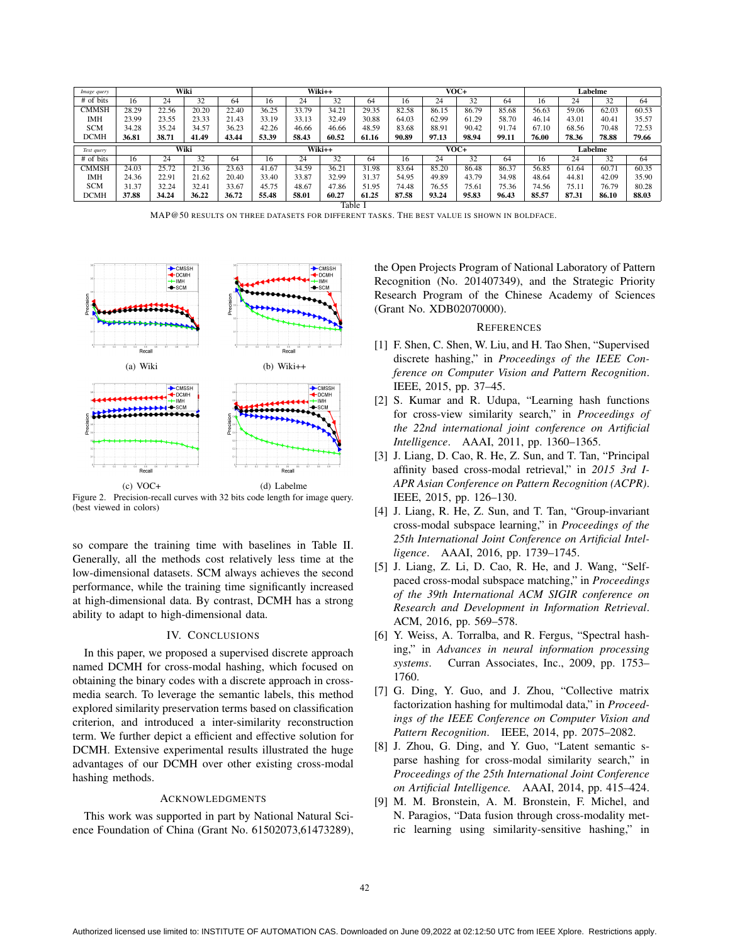| Image query  | Wiki               |       |       | Wiki++ |       |       | VOC+   |       |       |       | Labelme |       |       |       |       |       |
|--------------|--------------------|-------|-------|--------|-------|-------|--------|-------|-------|-------|---------|-------|-------|-------|-------|-------|
| # of bits    | 16                 | 24    | 32    | 64     | 16    | 24    | 32     | 64    | 16    | 24    | 32      | 64    | 16    | 24    | 32    | 64    |
| <b>CMMSH</b> | 28.29              | 22.56 | 20.20 | 22.40  | 36.25 | 33.79 | 34.21  | 29.35 | 82.58 | 86.15 | 86.79   | 85.68 | 56.63 | 59.06 | 62.03 | 60.53 |
| <b>IMH</b>   | 23.99              | 23.55 | 23.33 | 21.43  | 33.19 | 33.13 | 32.49  | 30.88 | 64.03 | 62.99 | 61.29   | 58.70 | 46.14 | 43.01 | 40.41 | 35.57 |
| <b>SCM</b>   | 34.28              | 35.24 | 34.57 | 36.23  | 42.26 | 46.66 | 46.66  | 48.59 | 83.68 | 88.91 | 90.42   | 91.74 | 67.10 | 68.56 | 70.48 | 72.53 |
| <b>DCMH</b>  | 36.81              | 38.71 | 41.49 | 43.44  | 53.39 | 58.43 | 60.52  | 61.16 | 90.89 | 97.13 | 98.94   | 99.11 | 76.00 | 78.36 | 78.88 | 79.66 |
|              | Wiki<br>Text query |       |       | Wiki++ |       |       | $VOC+$ |       |       |       | Labelme |       |       |       |       |       |
|              |                    |       |       |        |       |       |        |       |       |       |         |       |       |       |       |       |
| # of bits    | 16                 | 24    | 32    | 64     | 16    | 24    | 32     | 64    | 16    | 24    | 32      | 64    | 16    | 24    | 32    | 64    |
| <b>CMMSH</b> | 24.03              | 25.72 | 21.36 | 23.63  | 41.67 | 34.59 | 36.21  | 31.98 | 83.64 | 85.20 | 86.48   | 86.37 | 56.85 | 61.64 | 60.71 | 60.35 |
| <b>IMH</b>   | 24.36              | 22.91 | 21.62 | 20.40  | 33.40 | 33.87 | 32.99  | 31.37 | 54.95 | 49.89 | 43.79   | 34.98 | 48.64 | 44.81 | 42.09 | 35.90 |
| <b>SCM</b>   | 31.37              | 32.24 | 32.41 | 33.67  | 45.75 | 48.67 | 47.86  | 51.95 | 74.48 | 76.55 | 75.61   | 75.36 | 74.56 | 75.11 | 76.79 | 80.28 |
| <b>DCMH</b>  | 37.88              | 34.24 | 36.22 | 36.72  | 55.48 | 58.01 | 60.27  | 61.25 | 87.58 | 93.24 | 95.83   | 96.43 | 85.57 | 87.31 | 86.10 | 88.03 |

MAP@50 RESULTS ON THREE DATASETS FOR DIFFERENT TASKS. THE BEST VALUE IS SHOWN IN BOLDFACE.



Figure 2. Precision-recall curves with 32 bits code length for image query. (best viewed in colors)

so compare the training time with baselines in Table II. Generally, all the methods cost relatively less time at the low-dimensional datasets. SCM always achieves the second performance, while the training time significantly increased at high-dimensional data. By contrast, DCMH has a strong ability to adapt to high-dimensional data.

# IV. CONCLUSIONS

In this paper, we proposed a supervised discrete approach named DCMH for cross-modal hashing, which focused on obtaining the binary codes with a discrete approach in crossmedia search. To leverage the semantic labels, this method explored similarity preservation terms based on classification criterion, and introduced a inter-similarity reconstruction term. We further depict a efficient and effective solution for DCMH. Extensive experimental results illustrated the huge advantages of our DCMH over other existing cross-modal hashing methods.

# ACKNOWLEDGMENTS

This work was supported in part by National Natural Science Foundation of China (Grant No. 61502073,61473289), the Open Projects Program of National Laboratory of Pattern Recognition (No. 201407349), and the Strategic Priority Research Program of the Chinese Academy of Sciences (Grant No. XDB02070000).

### **REFERENCES**

- [1] F. Shen, C. Shen, W. Liu, and H. Tao Shen, "Supervised discrete hashing," in *Proceedings of the IEEE Conference on Computer Vision and Pattern Recognition*. IEEE, 2015, pp. 37–45.
- [2] S. Kumar and R. Udupa, "Learning hash functions for cross-view similarity search," in *Proceedings of the 22nd international joint conference on Artificial Intelligence*. AAAI, 2011, pp. 1360–1365.
- [3] J. Liang, D. Cao, R. He, Z. Sun, and T. Tan, "Principal affinity based cross-modal retrieval," in *2015 3rd I-APR Asian Conference on Pattern Recognition (ACPR)*. IEEE, 2015, pp. 126–130.
- [4] J. Liang, R. He, Z. Sun, and T. Tan, "Group-invariant cross-modal subspace learning," in *Proceedings of the 25th International Joint Conference on Artificial Intelligence*. AAAI, 2016, pp. 1739–1745.
- [5] J. Liang, Z. Li, D. Cao, R. He, and J. Wang, "Selfpaced cross-modal subspace matching," in *Proceedings of the 39th International ACM SIGIR conference on Research and Development in Information Retrieval*. ACM, 2016, pp. 569–578.
- [6] Y. Weiss, A. Torralba, and R. Fergus, "Spectral hashing," in *Advances in neural information processing systems*. Curran Associates, Inc., 2009, pp. 1753– 1760.
- [7] G. Ding, Y. Guo, and J. Zhou, "Collective matrix factorization hashing for multimodal data," in *Proceedings of the IEEE Conference on Computer Vision and Pattern Recognition*. IEEE, 2014, pp. 2075–2082.
- [8] J. Zhou, G. Ding, and Y. Guo, "Latent semantic sparse hashing for cross-modal similarity search," in *Proceedings of the 25th International Joint Conference on Artificial Intelligence.* AAAI, 2014, pp. 415–424.
- [9] M. M. Bronstein, A. M. Bronstein, F. Michel, and N. Paragios, "Data fusion through cross-modality metric learning using similarity-sensitive hashing," in